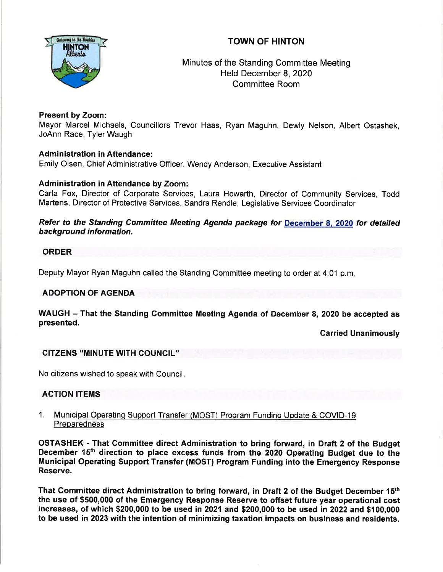# TOWN OF HINTON



Minutes of the Standing Committee Meeting Held December 8,2020 Committee Room

# Present by Zoom:

Mayor Marcel Michaels, Councillors Trevor Haas, Ryan Maguhn, Dewly Nelson, Albert Ostashek, JoAnn Race, Tyler Waugh

### Administration in Attendance:

Emily Olsen, Chief Administrative Officer, Wendy Anderson, Executive Assistant

# Administration in Attendance by Zoom:

Carla Fox, Director of Corporate Services, Laura Howarth, Director of Community Services, Todd Martens, Director of Protective Services, Sandra Rendle, Legislative Services Coordinator

Refer to the Standing Committee Meeting Agenda package for December 8. 2020 for detailed background information.

### ORDER

Deputy Mayor Ryan Maguhn called the Standing Committee meeting to order at 4:01 p.m

### ADOPTION OF AGENDA

WAUGH - That the Standing Committee Meeting Agenda of December 8, 2020 be accepted as presented.

Carried Unanimously

# GITZENS "MINUTE WITH GOUNCIL"

No citizens wished to speak with Council

### ACTION ITEMS

1. Municipal Operating Support Transfer (MOST) Program Funding Update & COVID-19 **Preparedness** 

OSTASHEK - That Gommittee direct Administration to bring forward, in Draft 2 of the Budget December 15<sup>th</sup> direction to place excess funds from the 2020 Operating Budget due to the Municipal Operating Support Transfer (MOST) Program Funding into the Emergency Response Reserve.

That Committee direct Administration to bring forward, in Draft 2 of the Budget December 15<sup>th</sup> the use of \$500,000 of the Emergency Response Reserve to offset future year operational cost increases, of which \$200,000 to be used in 2021 and \$200,000 to be used in 2022and \$100,000 to be used in 2023 with the intention of minimizing taxation impacts on business and residents.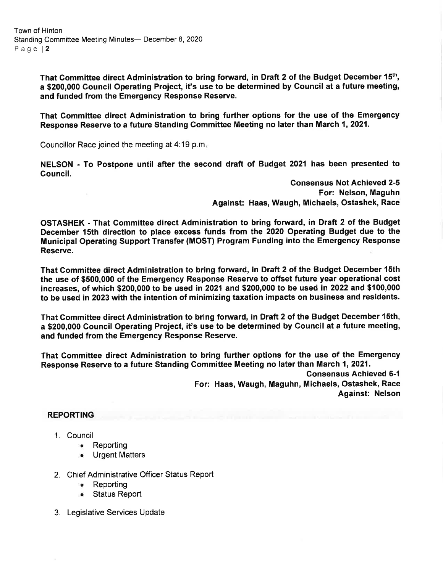That Gommittee direct Administration to bring forward, in Draft 2 of the Budget December 15th, a \$200,000 Gouncil Operating Project, it's use to be determined by Gouncil at a future meeting, and funded from the Emergency Response Reserve.

That Gommittee direct Administration to bring further options for the use of the Emergency Response Reserve to a future Standing Committee Meeting no later than March 1, 2021.

Councillor Race joined the meeting at 4:19 p.m

NELSON - To Postpone until after the second draft of Budget 2021 has been presented to Gouncil.

> Consensus Not Achieved 2-5 For: Nelson, Maguhn Against: Haas, Waugh, Michaels, Ostashek, Race

OSTASHEK - That Gommittee direct Administration to bring forward, in Draft 2 of the Budget December 15th direction to place excess funds from the 2020 Operating Budget due to the Municipal Operating Support Transfer (MOST) Program Funding into the Emergency Response Reserve.

That Gommittee direct Administration to bring forward, in Draft 2 of the Budget December 1Sth the use of \$500,000 of the Emergency Response Reserve to offset future year operational cost increases, of which \$200,000 to be used in 2021 and \$200,000 to be used in 2022and \$100,000 to be used in 2023 with the intention of minimizing taxation impacts on business and residents.

That Committee direct Administration to bring forward, in Draft 2 of the Budget December 1Sth, a \$200,000 Gouncil Operating Project, it's use to be determined by Council at a future meeting, and funded from the Emergency Response Reserve.

That Gommittee direct Administration to bring further options for the use of the Emergency Response Reserve to a future Standing Committee Meeting no later than March 1,2021.

> Gonsensus Achieved 6-1 For: Haas, Waugh, Maguhn, Michaels, Ostashek, Race Against: Nelson

### REPORTING

- 1. Council
	- **Reporting**
	- Urgent Matters a
- 2. Chief Administrative Officer Status Report
	- . Reporting
	- **Status Report**
- 3. Legislative Services Update